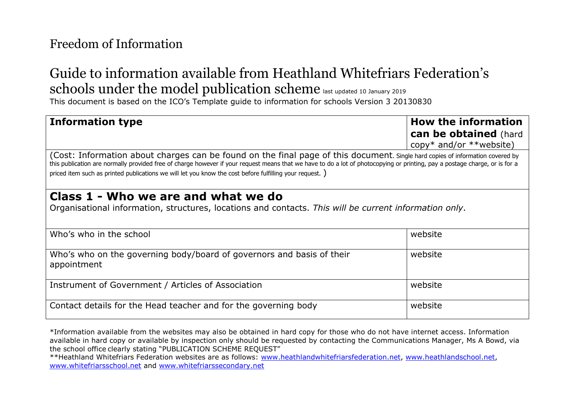# Guide to information available from Heathland Whitefriars Federation's schools under the model publication scheme last updated 10 January 2019

This document is based on the ICO's Template guide to information for schools Version 3 20130830

#### **Information type How the information can be obtained** (hard copy\* and/or \*\*website) (Cost: Information about charges can be found on the final page of this document. Single hard copies of information covered by this publication are normally provided free of charge however if your request means that we have to do a lot of photocopying or printing, pay a postage charge, or is for a priced item such as printed publications we will let you know the cost before fulfilling your request. ) **Class 1 - Who we are and what we do** Organisational information, structures, locations and contacts. *This will be current information only.* Who's who in the school website Who's who on the governing body/board of governors and basis of their appointment website Instrument of Government / Articles of Association Number 2012 10:00 Number 2014

Contact details for the Head teacher and for the governing body and website

\*Information available from the websites may also be obtained in hard copy for those who do not have internet access. Information available in hard copy or available by inspection only should be requested by contacting the Communications Manager, Ms A Bowd, via the school office clearly stating "PUBLICATION SCHEME REQUEST"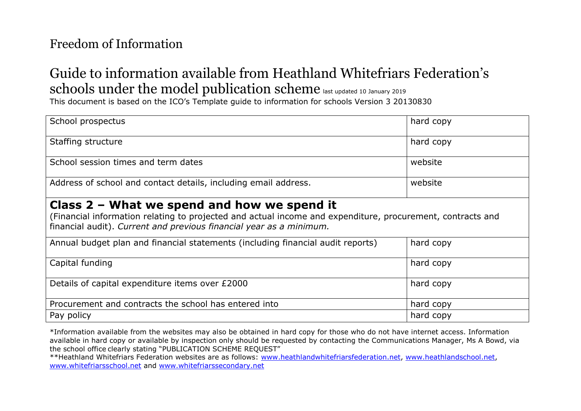# Guide to information available from Heathland Whitefriars Federation's schools under the model publication scheme last updated 10 January 2019

This document is based on the ICO's Template guide to information for schools Version 3 20130830

| School prospectus                                                                                                                                                                                                                  | hard copy |  |
|------------------------------------------------------------------------------------------------------------------------------------------------------------------------------------------------------------------------------------|-----------|--|
| Staffing structure                                                                                                                                                                                                                 | hard copy |  |
| School session times and term dates                                                                                                                                                                                                | website   |  |
| Address of school and contact details, including email address.                                                                                                                                                                    | website   |  |
| Class $2$ – What we spend and how we spend it<br>(Financial information relating to projected and actual income and expenditure, procurement, contracts and<br>financial audit). Current and previous financial year as a minimum. |           |  |
| Annual budget plan and financial statements (including financial audit reports)                                                                                                                                                    | hard copy |  |
| Capital funding                                                                                                                                                                                                                    | hard copy |  |
| Details of capital expenditure items over £2000                                                                                                                                                                                    | hard copy |  |
| Procurement and contracts the school has entered into                                                                                                                                                                              | hard copy |  |
| Pay policy                                                                                                                                                                                                                         | hard copy |  |

\*Information available from the websites may also be obtained in hard copy for those who do not have internet access. Information available in hard copy or available by inspection only should be requested by contacting the Communications Manager, Ms A Bowd, via the school office clearly stating "PUBLICATION SCHEME REQUEST"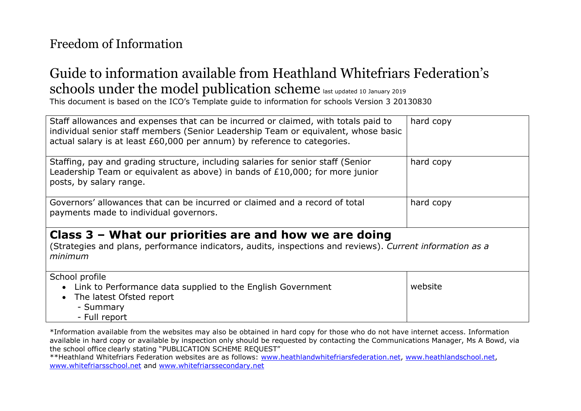# Guide to information available from Heathland Whitefriars Federation's schools under the model publication scheme last updated 10 January 2019

This document is based on the ICO's Template guide to information for schools Version 3 20130830

| Staff allowances and expenses that can be incurred or claimed, with totals paid to<br>individual senior staff members (Senior Leadership Team or equivalent, whose basic<br>actual salary is at least £60,000 per annum) by reference to categories. | hard copy |  |
|------------------------------------------------------------------------------------------------------------------------------------------------------------------------------------------------------------------------------------------------------|-----------|--|
| Staffing, pay and grading structure, including salaries for senior staff (Senior<br>Leadership Team or equivalent as above) in bands of £10,000; for more junior<br>posts, by salary range.                                                          | hard copy |  |
| Governors' allowances that can be incurred or claimed and a record of total<br>payments made to individual governors.                                                                                                                                | hard copy |  |
| Class $3$ – What our priorities are and how we are doing<br>(Strategies and plans, performance indicators, audits, inspections and reviews). Current information as a<br>minimum                                                                     |           |  |
| School profile<br>• Link to Performance data supplied to the English Government<br>The latest Ofsted report<br>- Summary<br>- Full report                                                                                                            | website   |  |

\*Information available from the websites may also be obtained in hard copy for those who do not have internet access. Information available in hard copy or available by inspection only should be requested by contacting the Communications Manager, Ms A Bowd, via the school office clearly stating "PUBLICATION SCHEME REQUEST"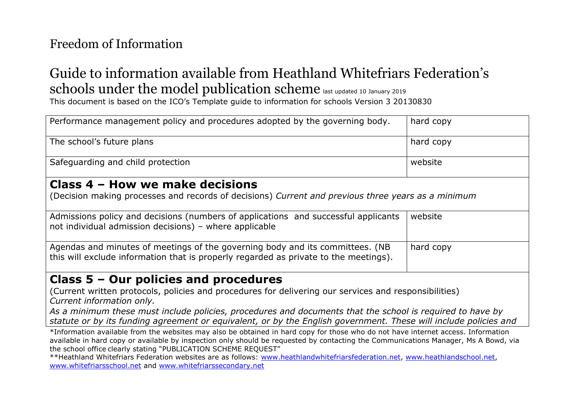# Guide to information available from Heathland Whitefriars Federation's schools under the model publication scheme last updated 10 January 2019

This document is based on the ICO's Template guide to information for schools Version 3 20130830

| Performance management policy and procedures adopted by the governing body.                                                                                           | hard copy |  |
|-----------------------------------------------------------------------------------------------------------------------------------------------------------------------|-----------|--|
| The school's future plans                                                                                                                                             | hard copy |  |
| Safeguarding and child protection                                                                                                                                     | website   |  |
| Class 4 – How we make decisions<br>(Decision making processes and records of decisions) Current and previous three years as a minimum                                 |           |  |
| Admissions policy and decisions (numbers of applications and successful applicants<br>not individual admission decisions) - where applicable                          | website   |  |
| Agendas and minutes of meetings of the governing body and its committees. (NB<br>this will exclude information that is properly regarded as private to the meetings). | hard copy |  |
| Class $5 -$ Our policies and procedures<br>(Current written protocols, policies and procedures for delivering our services and responsibilities)                      |           |  |

*Current information only.* 

*As a minimum these must include policies, procedures and documents that the school is required to have by statute or by its funding agreement or equivalent, or by the English government. These will include policies and* 

\*Information available from the websites may also be obtained in hard copy for those who do not have internet access. Information available in hard copy or available by inspection only should be requested by contacting the Communications Manager, Ms A Bowd, via the school office clearly stating "PUBLICATION SCHEME REQUEST"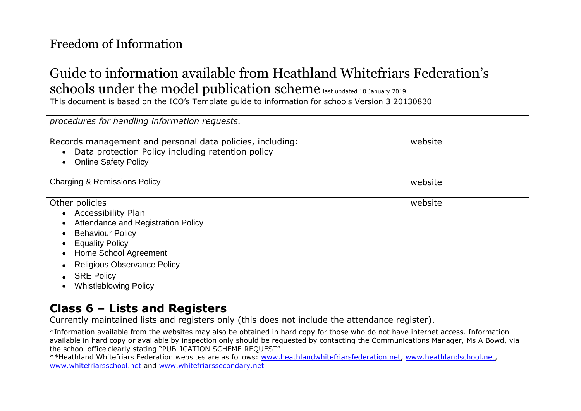# Guide to information available from Heathland Whitefriars Federation's schools under the model publication scheme last updated 10 January 2019

This document is based on the ICO's Template guide to information for schools Version 3 20130830

| procedures for handling information requests.                                                                                                                                                                                                                |         |  |
|--------------------------------------------------------------------------------------------------------------------------------------------------------------------------------------------------------------------------------------------------------------|---------|--|
| Records management and personal data policies, including:<br>Data protection Policy including retention policy<br><b>Online Safety Policy</b>                                                                                                                | website |  |
| <b>Charging &amp; Remissions Policy</b>                                                                                                                                                                                                                      | website |  |
| Other policies<br>• Accessibility Plan<br><b>Attendance and Registration Policy</b><br><b>Behaviour Policy</b><br><b>Equality Policy</b><br>Home School Agreement<br><b>Religious Observance Policy</b><br><b>SRE Policy</b><br><b>Whistleblowing Policy</b> | website |  |
| Class $6$ – Lists and Registers<br>Currently maintained lists and registers only (this does not include the attendance register).                                                                                                                            |         |  |

\*Information available from the websites may also be obtained in hard copy for those who do not have internet access. Information available in hard copy or available by inspection only should be requested by contacting the Communications Manager, Ms A Bowd, via the school office clearly stating "PUBLICATION SCHEME REQUEST"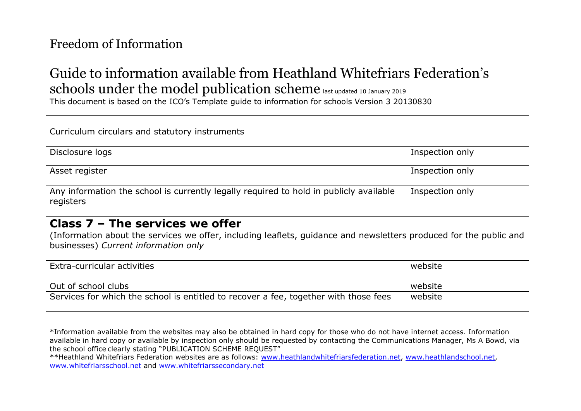# Guide to information available from Heathland Whitefriars Federation's schools under the model publication scheme last updated 10 January 2019

This document is based on the ICO's Template guide to information for schools Version 3 20130830

| Curriculum circulars and statutory instruments                                                                                                                                                  |                 |  |
|-------------------------------------------------------------------------------------------------------------------------------------------------------------------------------------------------|-----------------|--|
| Disclosure logs                                                                                                                                                                                 | Inspection only |  |
| Asset register                                                                                                                                                                                  | Inspection only |  |
| Any information the school is currently legally required to hold in publicly available<br>registers                                                                                             | Inspection only |  |
| Class $7$ – The services we offer<br>(Information about the services we offer, including leaflets, guidance and newsletters produced for the public and<br>businesses) Current information only |                 |  |
| Extra-curricular activities                                                                                                                                                                     | website         |  |
| Out of school clubs                                                                                                                                                                             | website         |  |
| Services for which the school is entitled to recover a fee, together with those fees                                                                                                            | website         |  |

\*Information available from the websites may also be obtained in hard copy for those who do not have internet access. Information available in hard copy or available by inspection only should be requested by contacting the Communications Manager, Ms A Bowd, via the school office clearly stating "PUBLICATION SCHEME REQUEST"